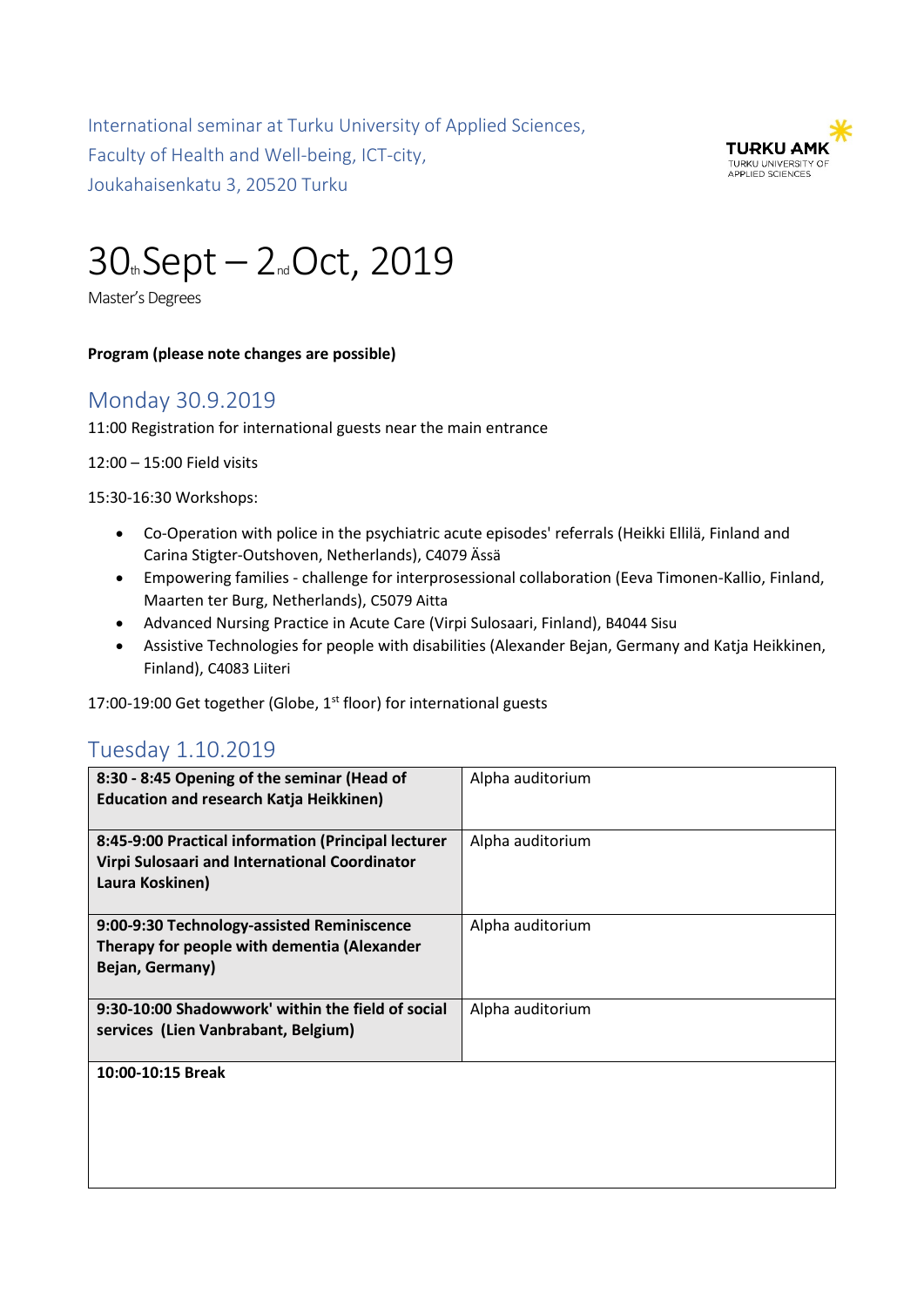International seminar at Turku University of Applied Sciences, Faculty of Health and Well-being, ICT-city, Joukahaisenkatu 3, 20520 Turku



# 30th Sept – 2nd Oct, 2019

Master's Degrees

#### **Program (please note changes are possible)**

### Monday 30.9.2019

11:00 Registration for international guests near the main entrance

12:00 – 15:00 Field visits

15:30-16:30 Workshops:

- Co-Operation with police in the psychiatric acute episodes' referrals (Heikki Ellilä, Finland and Carina Stigter-Outshoven, Netherlands), C4079 Ässä
- Empowering families challenge for interprosessional collaboration (Eeva Timonen-Kallio, Finland, Maarten ter Burg, Netherlands), C5079 Aitta
- Advanced Nursing Practice in Acute Care (Virpi Sulosaari, Finland), B4044 Sisu
- Assistive Technologies for people with disabilities (Alexander Bejan, Germany and Katja Heikkinen, Finland), C4083 Liiteri

17:00-19:00 Get together (Globe, 1<sup>st</sup> floor) for international guests

#### Tuesday 1.10.2019

| 8:30 - 8:45 Opening of the seminar (Head of<br><b>Education and research Katja Heikkinen)</b>                           | Alpha auditorium |
|-------------------------------------------------------------------------------------------------------------------------|------------------|
| 8:45-9:00 Practical information (Principal lecturer<br>Virpi Sulosaari and International Coordinator<br>Laura Koskinen) | Alpha auditorium |
| 9:00-9:30 Technology-assisted Reminiscence<br>Therapy for people with dementia (Alexander<br>Bejan, Germany)            | Alpha auditorium |
| 9:30-10:00 Shadowwork' within the field of social<br>services (Lien Vanbrabant, Belgium)                                | Alpha auditorium |
| 10:00-10:15 Break                                                                                                       |                  |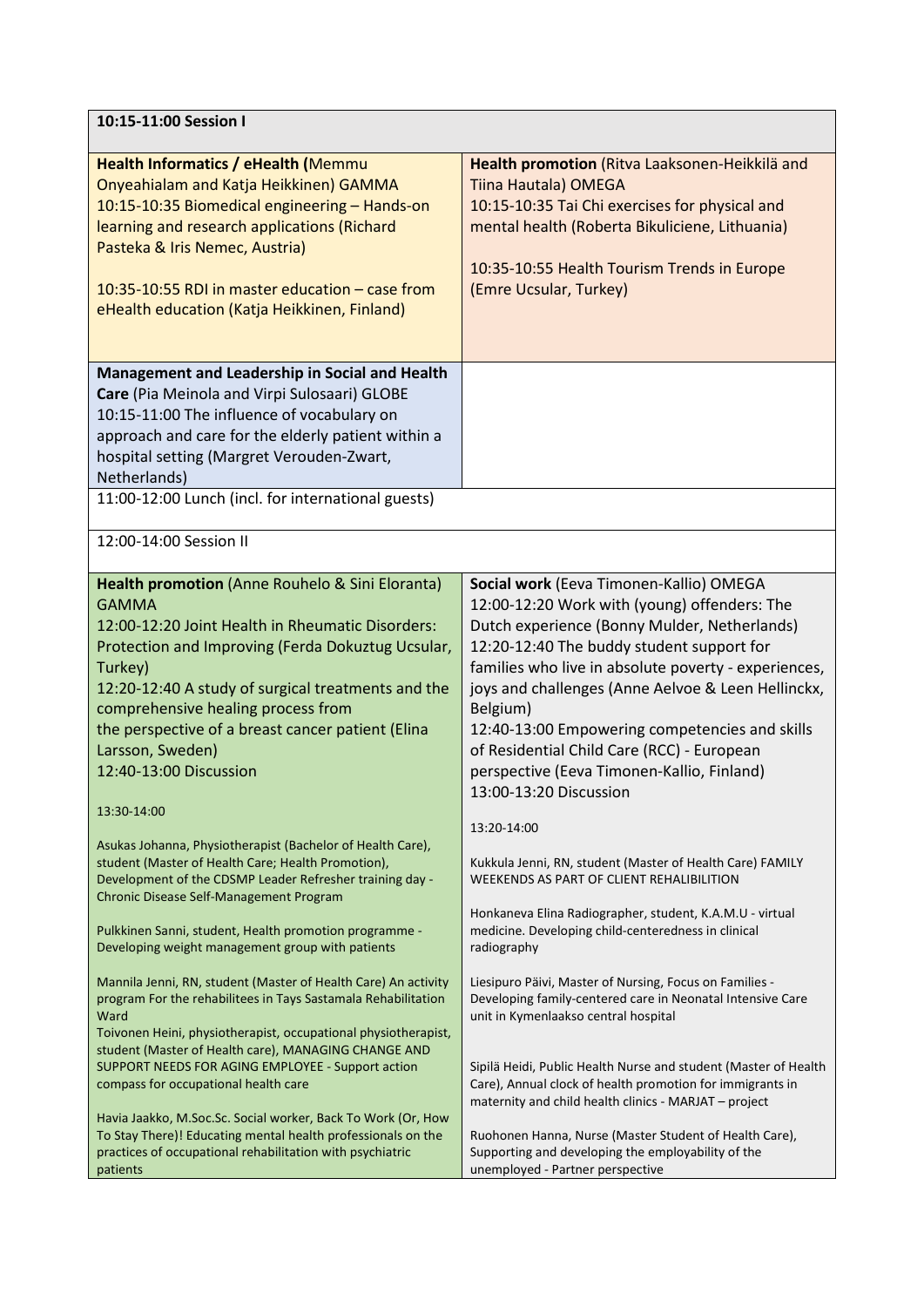| 10:15-11:00 Session I                                                                                                                                                                                                                                                                                                                                                                                                          |                                                                                                                                                                                                                                                                                                                                                                                                                                                                                        |  |
|--------------------------------------------------------------------------------------------------------------------------------------------------------------------------------------------------------------------------------------------------------------------------------------------------------------------------------------------------------------------------------------------------------------------------------|----------------------------------------------------------------------------------------------------------------------------------------------------------------------------------------------------------------------------------------------------------------------------------------------------------------------------------------------------------------------------------------------------------------------------------------------------------------------------------------|--|
| Health Informatics / eHealth (Memmu<br>Onyeahialam and Katja Heikkinen) GAMMA<br>10:15-10:35 Biomedical engineering - Hands-on<br>learning and research applications (Richard<br>Pasteka & Iris Nemec, Austria)<br>10:35-10:55 RDI in master education - case from<br>eHealth education (Katja Heikkinen, Finland)                                                                                                             | Health promotion (Ritva Laaksonen-Heikkilä and<br>Tiina Hautala) OMEGA<br>10:15-10:35 Tai Chi exercises for physical and<br>mental health (Roberta Bikuliciene, Lithuania)<br>10:35-10:55 Health Tourism Trends in Europe<br>(Emre Ucsular, Turkey)                                                                                                                                                                                                                                    |  |
| Management and Leadership in Social and Health<br>Care (Pia Meinola and Virpi Sulosaari) GLOBE<br>10:15-11:00 The influence of vocabulary on<br>approach and care for the elderly patient within a<br>hospital setting (Margret Verouden-Zwart,<br>Netherlands)<br>11:00-12:00 Lunch (incl. for international guests)                                                                                                          |                                                                                                                                                                                                                                                                                                                                                                                                                                                                                        |  |
| 12:00-14:00 Session II                                                                                                                                                                                                                                                                                                                                                                                                         |                                                                                                                                                                                                                                                                                                                                                                                                                                                                                        |  |
| Health promotion (Anne Rouhelo & Sini Eloranta)<br><b>GAMMA</b><br>12:00-12:20 Joint Health in Rheumatic Disorders:<br>Protection and Improving (Ferda Dokuztug Ucsular,<br>Turkey)<br>12:20-12:40 A study of surgical treatments and the<br>comprehensive healing process from<br>the perspective of a breast cancer patient (Elina<br>Larsson, Sweden)<br>12:40-13:00 Discussion<br>13:30-14:00                              | Social work (Eeva Timonen-Kallio) OMEGA<br>12:00-12:20 Work with (young) offenders: The<br>Dutch experience (Bonny Mulder, Netherlands)<br>12:20-12:40 The buddy student support for<br>families who live in absolute poverty - experiences,<br>joys and challenges (Anne Aelvoe & Leen Hellinckx,<br>Belgium)<br>12:40-13:00 Empowering competencies and skills<br>of Residential Child Care (RCC) - European<br>perspective (Eeva Timonen-Kallio, Finland)<br>13:00-13:20 Discussion |  |
| Asukas Johanna, Physiotherapist (Bachelor of Health Care),<br>student (Master of Health Care; Health Promotion),<br>Development of the CDSMP Leader Refresher training day -<br>Chronic Disease Self-Management Program<br>Pulkkinen Sanni, student, Health promotion programme -<br>Developing weight management group with patients                                                                                          | 13:20-14:00<br>Kukkula Jenni, RN, student (Master of Health Care) FAMILY<br>WEEKENDS AS PART OF CLIENT REHALIBILITION<br>Honkaneva Elina Radiographer, student, K.A.M.U - virtual<br>medicine. Developing child-centeredness in clinical<br>radiography                                                                                                                                                                                                                                |  |
| Mannila Jenni, RN, student (Master of Health Care) An activity<br>program For the rehabilitees in Tays Sastamala Rehabilitation<br>Ward<br>Toivonen Heini, physiotherapist, occupational physiotherapist,<br>student (Master of Health care), MANAGING CHANGE AND<br>SUPPORT NEEDS FOR AGING EMPLOYEE - Support action<br>compass for occupational health care<br>Havia Jaakko, M.Soc.Sc. Social worker, Back To Work (Or, How | Liesipuro Päivi, Master of Nursing, Focus on Families -<br>Developing family-centered care in Neonatal Intensive Care<br>unit in Kymenlaakso central hospital<br>Sipilä Heidi, Public Health Nurse and student (Master of Health<br>Care), Annual clock of health promotion for immigrants in<br>maternity and child health clinics - MARJAT - project                                                                                                                                 |  |
| To Stay There)! Educating mental health professionals on the<br>practices of occupational rehabilitation with psychiatric<br>patients                                                                                                                                                                                                                                                                                          | Ruohonen Hanna, Nurse (Master Student of Health Care),<br>Supporting and developing the employability of the<br>unemployed - Partner perspective                                                                                                                                                                                                                                                                                                                                       |  |